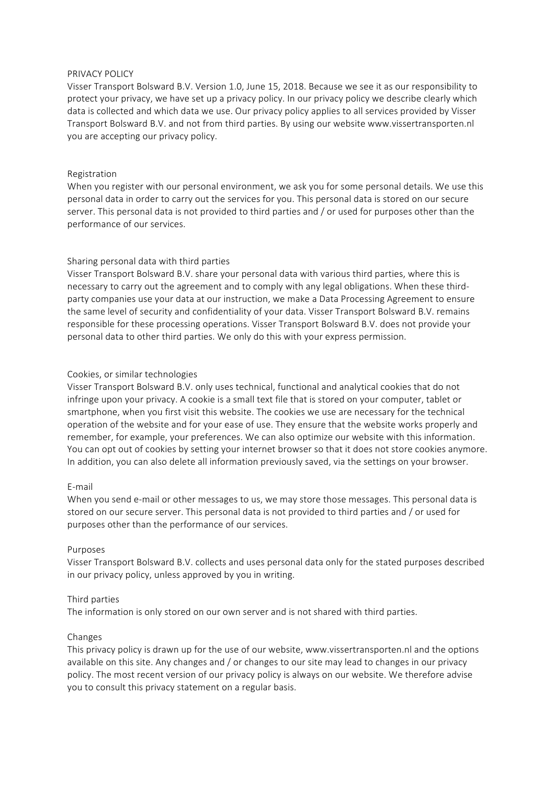### PRIVACY POLICY

Visser Transport Bolsward B.V. Version 1.0, June 15, 2018. Because we see it as our responsibility to protect your privacy, we have set up a privacy policy. In our privacy policy we describe clearly which data is collected and which data we use. Our privacy policy applies to all services provided by Visser Transport Bolsward B.V. and not from third parties. By using our website www.vissertransporten.nl you are accepting our privacy policy.

# Registration

When you register with our personal environment, we ask you for some personal details. We use this personal data in order to carry out the services for you. This personal data is stored on our secure server. This personal data is not provided to third parties and / or used for purposes other than the performance of our services.

## Sharing personal data with third parties

Visser Transport Bolsward B.V. share your personal data with various third parties, where this is necessary to carry out the agreement and to comply with any legal obligations. When these thirdparty companies use your data at our instruction, we make a Data Processing Agreement to ensure the same level of security and confidentiality of your data. Visser Transport Bolsward B.V. remains responsible for these processing operations. Visser Transport Bolsward B.V. does not provide your personal data to other third parties. We only do this with your express permission.

## Cookies, or similar technologies

Visser Transport Bolsward B.V. only uses technical, functional and analytical cookies that do not infringe upon your privacy. A cookie is a small text file that is stored on your computer, tablet or smartphone, when you first visit this website. The cookies we use are necessary for the technical operation of the website and for your ease of use. They ensure that the website works properly and remember, for example, your preferences. We can also optimize our website with this information. You can opt out of cookies by setting your internet browser so that it does not store cookies anymore. In addition, you can also delete all information previously saved, via the settings on your browser.

#### E-mail

When you send e-mail or other messages to us, we may store those messages. This personal data is stored on our secure server. This personal data is not provided to third parties and / or used for purposes other than the performance of our services.

#### Purposes

Visser Transport Bolsward B.V. collects and uses personal data only for the stated purposes described in our privacy policy, unless approved by you in writing.

#### Third parties

The information is only stored on our own server and is not shared with third parties.

# Changes

This privacy policy is drawn up for the use of our website, www.vissertransporten.nl and the options available on this site. Any changes and / or changes to our site may lead to changes in our privacy policy. The most recent version of our privacy policy is always on our website. We therefore advise you to consult this privacy statement on a regular basis.